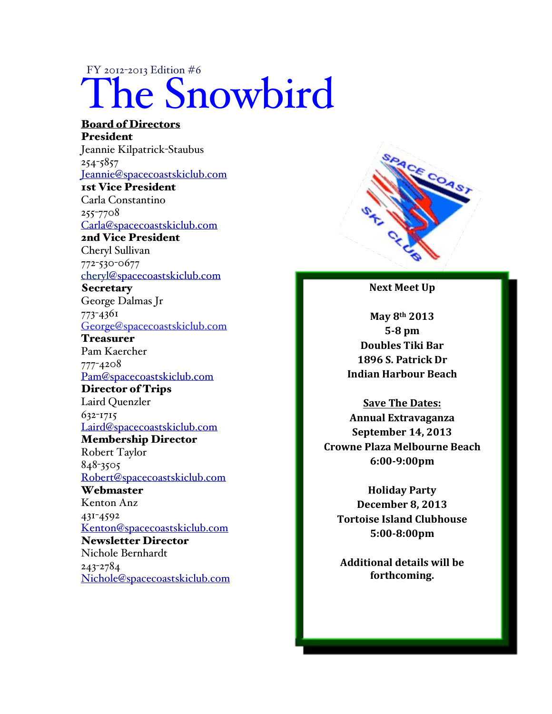# FY 2012-2013 Edition #6 The Snowbird

#### Board of Directors President Jeannie Kilpatrick-Staubus 254-5857 Jeannie@spacecoastskiclub.com 1st Vice President Carla Constantino 255-7708 Carla@spacecoastskiclub.com 2nd Vice President Cheryl Sullivan 772-530-0677 cheryl@spacecoastskiclub.com **Secretary** George Dalmas Jr 773-4361 George@spacecoastskiclub.com Treasurer Pam Kaercher 777-4208 Pam@spacecoastskiclub.com Director of Trips Laird Quenzler 632-1715 Laird@spacecoastskiclub.com Membership Director Robert Taylor 848-3505 Robert@spacecoastskiclub.com **Webmaster** Kenton Anz 431-4592 Kenton@spacecoastskiclub.com Newsletter Director Nichole Bernhardt 243-2784 Nichole@spacecoastskiclub.com



**Next Meet Up** 

**May%8th 2013 528%pm Doubles%Tiki%Bar 1896 S. Patrick Dr. Indian%Harbour%Beach**

**Save The Dates: Annual%Extravaganza September 14, 2013 Crowne%Plaza%Melbourne%Beach 6:0029:00pm**

**Holiday%Party December 8, 2013 Tortoise Island Clubhouse 5:0028:00pm**

**Additional%details%will%be% forthcoming.**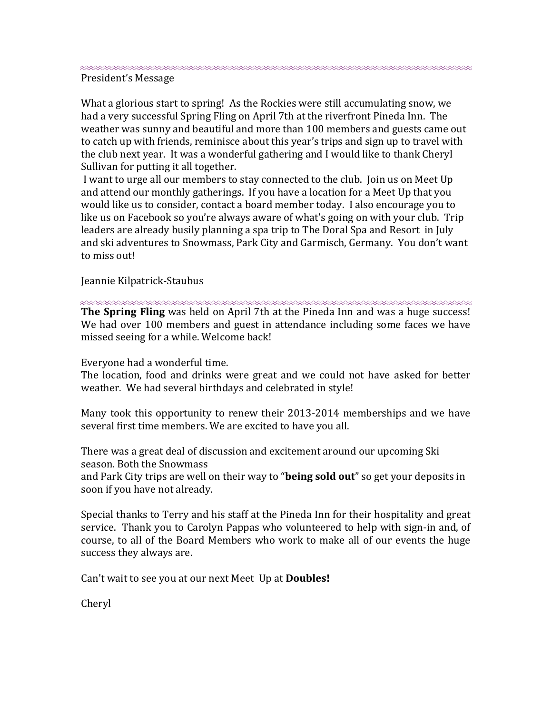President's Message

What a glorious start to spring! As the Rockies were still accumulating snow, we had a very successful Spring Fling on April 7th at the riverfront Pineda Inn. The weather was sunny and beautiful and more than 100 members and guests came out to catch up with friends, reminisce about this year's trips and sign up to travel with the club next year. It was a wonderful gathering and I would like to thank Cheryl Sullivan for putting it all together.

I want to urge all our members to stay connected to the club. Join us on Meet Up and attend our monthly gatherings. If you have a location for a Meet Up that you would like us to consider, contact a board member today. I also encourage you to like us on Facebook so you're always aware of what's going on with your club. Trip leaders are already busily planning a spa trip to The Doral Spa and Resort in July and ski adventures to Snowmass, Park City and Garmisch, Germany. You don't want to miss out!

#### Jeannie Kilpatrick-Staubus

The Spring Fling was held on April 7th at the Pineda Inn and was a huge success! We had over 100 members and guest in attendance including some faces we have missed seeing for a while. Welcome back!

Everyone had a wonderful time.

The location, food and drinks were great and we could not have asked for better weather. We had several birthdays and celebrated in style!

Many took this opportunity to renew their 2013-2014 memberships and we have several first time members. We are excited to have you all.

There was a great deal of discussion and excitement around our upcoming Ski season. Both the Snowmass

and Park City trips are well on their way to "**being sold out**" so get your deposits in soon if you have not already.

Special thanks to Terry and his staff at the Pineda Inn for their hospitality and great service. Thank you to Carolyn Pappas who volunteered to help with sign-in and, of course, to all of the Board Members who work to make all of our events the huge success they always are.

Can't wait to see you at our next Meet Up at **Doubles!** 

Cheryl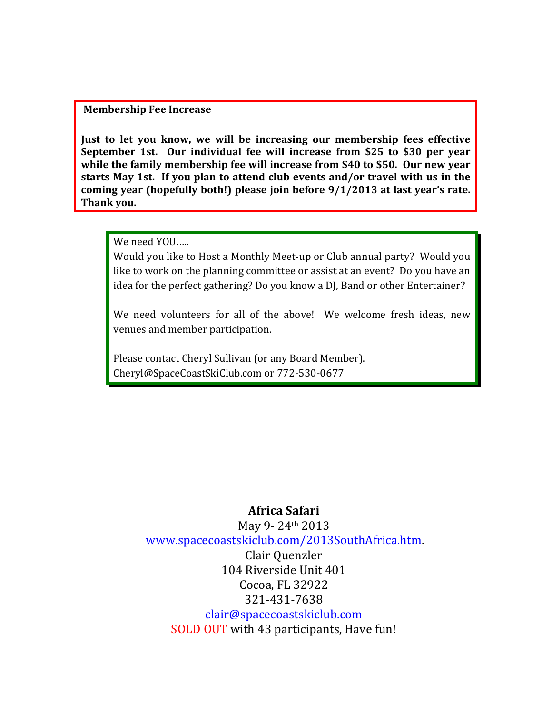#### **Membership Fee Increase**

**Just to let you know, we will be increasing our membership fees effective September 1st. Our individual fee will increase from \$25 to \$30 per year** while the family membership fee will increase from \$40 to \$50. Our new year starts May 1st. If you plan to attend club events and/or travel with us in the coming year (hopefully both!) please join before  $9/1/2013$  at last year's rate. Thank you.

We need YOU.....

Would you like to Host a Monthly Meet-up or Club annual party? Would you like to work on the planning committee or assist at an event? Do you have an idea for the perfect gathering? Do you know a DJ, Band or other Entertainer?

We need volunteers for all of the above! We welcome fresh ideas, new venues and member participation.

Please contact Cheryl Sullivan (or any Board Member). Cheryl@SpaceCoastSkiClub.com or 772-530-0677

## **Africa%Safari**

May 9-24th 2013 www.spacecoastskiclub.com/2013SouthAfrica.htm.! Clair Ouenzler 104 Riverside Unit 401 Cocoa, FL 32922 321-431-7638 clair@spacecoastskiclub.com SOLD OUT with 43 participants, Have fun!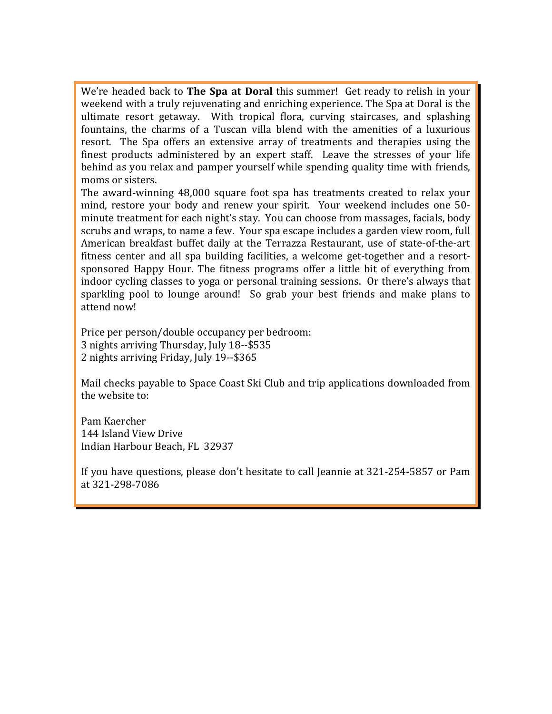We're headed back to **The Spa at Doral** this summer! Get ready to relish in your weekend with a truly rejuvenating and enriching experience. The Spa at Doral is the ultimate resort getaway. With tropical flora, curving staircases, and splashing fountains, the charms of a Tuscan villa blend with the amenities of a luxurious resort. The Spa offers an extensive array of treatments and therapies using the finest products administered by an expert staff. Leave the stresses of your life behind as you relax and pamper yourself while spending quality time with friends, moms or sisters.

The award-winning 48,000 square foot spa has treatments created to relax your mind, restore your body and renew your spirit. Your weekend includes one 50minute treatment for each night's stay. You can choose from massages, facials, body scrubs and wraps, to name a few. Your spa escape includes a garden view room, full American breakfast buffet daily at the Terrazza Restaurant, use of state-of-the-art fitness center and all spa building facilities, a welcome get-together and a resortsponsored Happy Hour. The fitness programs offer a little bit of everything from indoor cycling classes to yoga or personal training sessions. Or there's always that sparkling pool to lounge around! So grab your best friends and make plans to attend now!

Price per person/double occupancy per bedroom: 3 nights arriving Thursday, July 18--\$535 2 nights arriving Friday, July 19--\$365

Mail checks payable to Space Coast Ski Club and trip applications downloaded from the website to:

Pam!Kaercher 144 Island View Drive Indian Harbour Beach, FL 32937

If you have questions, please don't hesitate to call Jeannie at 321-254-5857 or Pam at 321-298-7086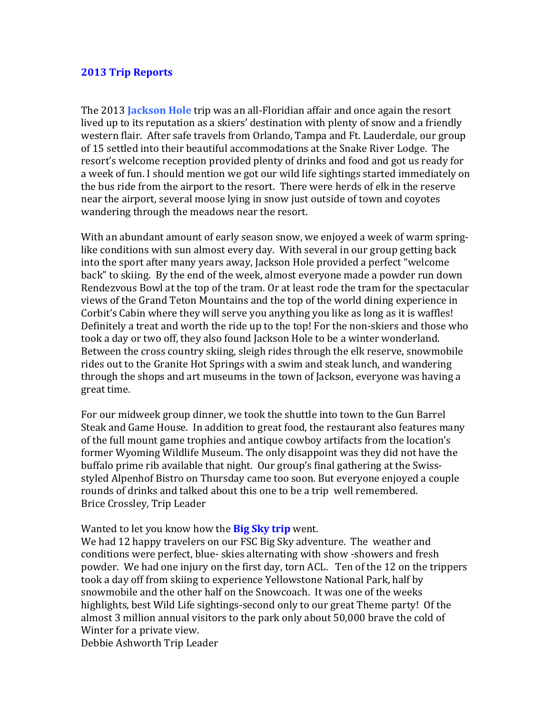#### **2013%Trip%Reports**

The 2013 **Jackson Hole** trip was an all-Floridian affair and once again the resort lived up to its reputation as a skiers' destination with plenty of snow and a friendly western flair. After safe travels from Orlando, Tampa and Ft. Lauderdale, our group of 15 settled into their beautiful accommodations at the Snake River Lodge. The resort's welcome reception provided plenty of drinks and food and got us ready for a week of fun. I should mention we got our wild life sightings started immediately on the bus ride from the airport to the resort. There were herds of elk in the reserve near the airport, several moose lying in snow just outside of town and covotes wandering through the meadows near the resort.

With an abundant amount of early season snow, we enjoyed a week of warm springlike conditions with sun almost every day. With several in our group getting back into the sport after many years away, Jackson Hole provided a perfect "welcome" back" to skiing. By the end of the week, almost everyone made a powder run down Rendezvous Bowl at the top of the tram. Or at least rode the tram for the spectacular views of the Grand Teton Mountains and the top of the world dining experience in Corbit's Cabin where they will serve you anything you like as long as it is waffles! Definitely a treat and worth the ride up to the top! For the non-skiers and those who took a day or two off, they also found Jackson Hole to be a winter wonderland. Between the cross country skiing, sleigh rides through the elk reserve, snowmobile rides out to the Granite Hot Springs with a swim and steak lunch, and wandering through the shops and art museums in the town of Jackson, everyone was having a great time.

For our midweek group dinner, we took the shuttle into town to the Gun Barrel Steak and Game House. In addition to great food, the restaurant also features many of the full mount game trophies and antique cowboy artifacts from the location's former Wyoming Wildlife Museum. The only disappoint was they did not have the buffalo prime rib available that night. Our group's final gathering at the Swissstyled Alpenhof Bistro on Thursday came too soon. But everyone enjoyed a couple rounds of drinks and talked about this one to be a trip well remembered. Brice Crossley, Trip Leader

#### Wanted to let you know how the **Big Sky trip** went.

We had 12 happy travelers on our FSC Big Sky adventure. The weather and conditions were perfect, blue- skies alternating with show -showers and fresh powder. We had one injury on the first day, torn ACL. Ten of the 12 on the trippers took a day off from skiing to experience Yellowstone National Park, half by snowmobile and the other half on the Snowcoach. It was one of the weeks highlights, best Wild Life sightings-second only to our great Theme party! Of the almost 3 million annual visitors to the park only about 50,000 brave the cold of Winter for a private view.

Debbie Ashworth Trip Leader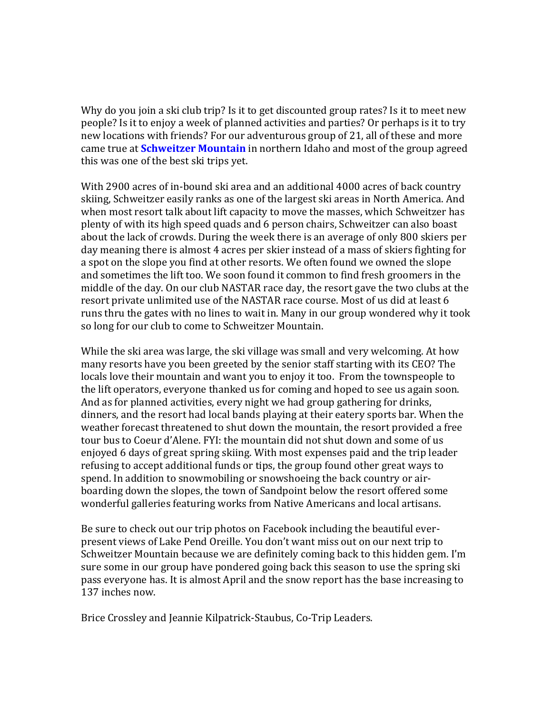Why do you join a ski club trip? Is it to get discounted group rates? Is it to meet new people? Is it to enjoy a week of planned activities and parties? Or perhaps is it to try new locations with friends? For our adventurous group of 21, all of these and more came true at **Schweitzer Mountain** in northern Idaho and most of the group agreed this was one of the best ski trips yet.

With 2900 acres of in-bound ski area and an additional 4000 acres of back country skiing, Schweitzer easily ranks as one of the largest ski areas in North America. And when most resort talk about lift capacity to move the masses, which Schweitzer has plenty of with its high speed quads and 6 person chairs, Schweitzer can also boast about the lack of crowds. During the week there is an average of only 800 skiers per day meaning there is almost 4 acres per skier instead of a mass of skiers fighting for a spot on the slope you find at other resorts. We often found we owned the slope and sometimes the lift too. We soon found it common to find fresh groomers in the middle of the day. On our club NASTAR race day, the resort gave the two clubs at the resort private unlimited use of the NASTAR race course. Most of us did at least 6 runs thru the gates with no lines to wait in. Many in our group wondered why it took so long for our club to come to Schweitzer Mountain.

While the ski area was large, the ski village was small and very welcoming. At how many resorts have you been greeted by the senior staff starting with its CEO? The locals love their mountain and want you to enjoy it too. From the townspeople to the lift operators, everyone thanked us for coming and hoped to see us again soon. And as for planned activities, every night we had group gathering for drinks, dinners, and the resort had local bands playing at their eatery sports bar. When the weather forecast threatened to shut down the mountain, the resort provided a free tour bus to Coeur d'Alene. FYI: the mountain did not shut down and some of us enjoyed 6 days of great spring skiing. With most expenses paid and the trip leader refusing to accept additional funds or tips, the group found other great ways to spend. In addition to snowmobiling or snowshoeing the back country or airboarding down the slopes, the town of Sandpoint below the resort offered some wonderful galleries featuring works from Native Americans and local artisans.

Be sure to check out our trip photos on Facebook including the beautiful everpresent views of Lake Pend Oreille. You don't want miss out on our next trip to Schweitzer Mountain because we are definitely coming back to this hidden gem. I'm sure some in our group have pondered going back this season to use the spring ski pass everyone has. It is almost April and the snow report has the base increasing to 137 inches now.

Brice Crossley and Jeannie Kilpatrick-Staubus, Co-Trip Leaders.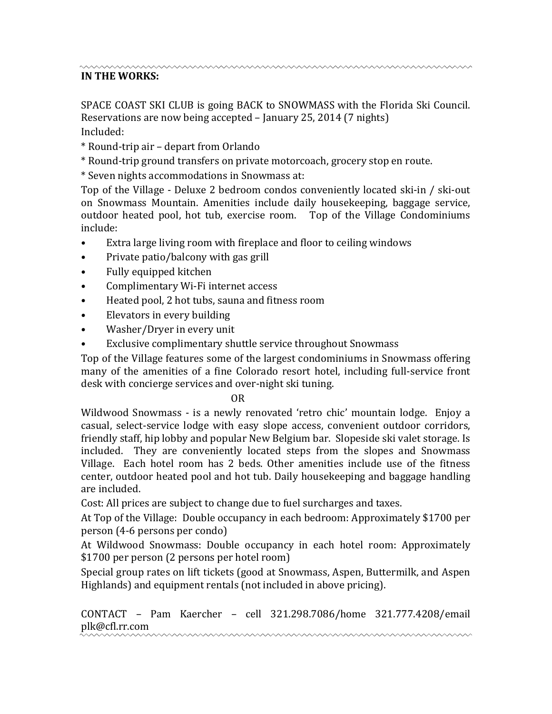# **IN THE WORKS:**

SPACE COAST SKI CLUB is going BACK to SNOWMASS with the Florida Ski Council. Reservations are now being accepted – January 25, 2014 (7 nights) Included:

- \* Round-trip air depart from Orlando
- \* Round-trip ground transfers on private motorcoach, grocery stop en route.
- \* Seven nights accommodations in Snowmass at:

Top of the Village - Deluxe 2 bedroom condos conveniently located ski-in / ski-out on Snowmass Mountain. Amenities include daily housekeeping, baggage service, outdoor heated pool, hot tub, exercise room. Top of the Village Condominiums include:

- Extra large living room with fireplace and floor to ceiling windows
- Private patio/balcony with gas grill
- Fully equipped kitchen
- Complimentary Wi-Fi internet access
- Heated pool, 2 hot tubs, sauna and fitness room
- Elevators in every building
- Washer/Dryer in every unit
- Exclusive complimentary shuttle service throughout Snowmass

Top of the Village features some of the largest condominiums in Snowmass offering many of the amenities of a fine Colorado resort hotel, including full-service front desk with concierge services and over-night ski tuning.

#### !!!!!!!!!!!!!!!!!!!!!!!!!!!!!!!!!!!!!!!!!!!!!!!!!!!!!!!!!!!!!!!OR

Wildwood Snowmass - is a newly renovated 'retro chic' mountain lodge. Enjoy a casual, select-service lodge with easy slope access, convenient outdoor corridors, friendly staff, hip lobby and popular New Belgium bar. Slopeside ski valet storage. Is included. They are conveniently located steps from the slopes and Snowmass Village. Each hotel room has 2 beds. Other amenities include use of the fitness center, outdoor heated pool and hot tub. Daily housekeeping and baggage handling are included.

Cost: All prices are subject to change due to fuel surcharges and taxes.

At Top of the Village: Double occupancy in each bedroom: Approximately \$1700 per person (4-6 persons per condo)

At Wildwood Snowmass: Double occupancy in each hotel room: Approximately \$1700 per person (2 persons per hotel room)

Special group rates on lift tickets (good at Snowmass, Aspen, Buttermilk, and Aspen Highlands) and equipment rentals (not included in above pricing).

CONTACT – Pam Kaercher – cell 321.298.7086/home 321.777.4208/email plk@cfl.rr.com